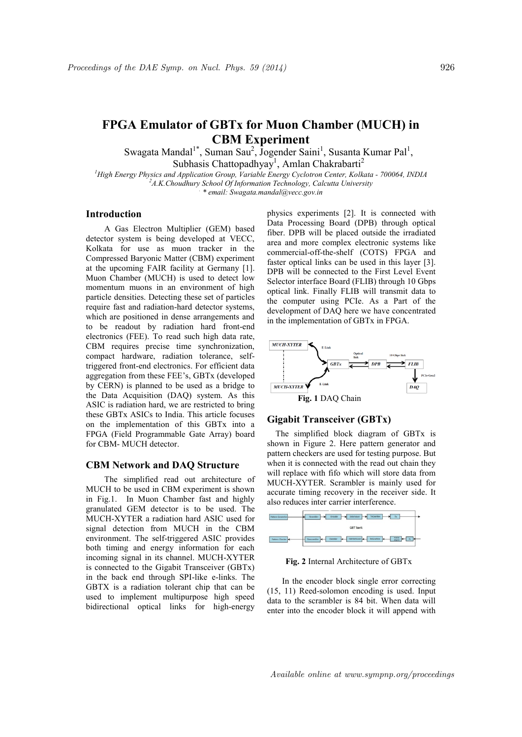# **FPGA Emulator of GBTx for Muon Chamber (MUCH) in CBM Experiment**

Swagata Mandal<sup>1\*</sup>, Suman Sau<sup>2</sup>, Jogender Saini<sup>1</sup>, Susanta Kumar Pal<sup>1</sup>, Subhasis Chattopadhyay<sup>1</sup>, Amlan Chakrabarti<sup>2</sup> *<sup>1</sup>High Energy Physics and Application Group, Variable Energy Cyclotron Center, Kolkata - 700064, INDIA*

*<sup>2</sup>A.K.Choudhury School Of Information Technology, Calcutta University . \* email: Swagata.mandal@vecc.gov.in*

# **Introduction**

A Gas Electron Multiplier (GEM) based detector system is being developed at VECC, Kolkata for use as muon tracker in the Compressed Baryonic Matter (CBM) experiment at the upcoming FAIR facility at Germany [1]. Muon Chamber (MUCH) is used to detect low momentum muons in an environment of high particle densities. Detecting these set of particles require fast and radiation-hard detector systems, which are positioned in dense arrangements and to be readout by radiation hard front-end electronics (FEE). To read such high data rate, CBM requires precise time synchronization, compact hardware, radiation tolerance, selftriggered front-end electronics. For efficient data aggregation from these FEE's, GBTx (developed by CERN) is planned to be used as a bridge to the Data Acquisition (DAQ) system. As this ASIC is radiation hard, we are restricted to bring these GBTx ASICs to India. This article focuses on the implementation of this GBTx into a FPGA (Field Programmable Gate Array) board for CBM- MUCH detector.

#### **CBM Network and DAQ Structure**

The simplified read out architecture of MUCH to be used in CBM experiment is shown in Fig.1. In Muon Chamber fast and highly granulated GEM detector is to be used. The MUCH-XYTER a radiation hard ASIC used for signal detection from MUCH in the CBM environment. The self-triggered ASIC provides both timing and energy information for each incoming signal in its channel. MUCH-XYTER is connected to the Gigabit Transceiver (GBTx) in the back end through SPI-like e-links. The GBTX is a radiation tolerant chip that can be used to implement multipurpose high speed bidirectional optical links for high-energy physics experiments [2]. It is connected with Data Processing Board (DPB) through optical fiber. DPB will be placed outside the irradiated area and more complex electronic systems like commercial-off-the-shelf (COTS) FPGA and faster optical links can be used in this layer [3]. DPB will be connected to the First Level Event Selector interface Board (FLIB) through 10 Gbps optical link. Finally FLIB will transmit data to the computer using PCIe. As a Part of the development of DAQ here we have concentrated in the implementation of GBTx in FPGA.



### **Gigabit Transceiver (GBTx)**

 The simplified block diagram of GBTx is shown in Figure 2. Here pattern generator and pattern checkers are used for testing purpose. But when it is connected with the read out chain they will replace with fifo which will store data from MUCH-XYTER. Scrambler is mainly used for accurate timing recovery in the receiver side. It also reduces inter carrier interference.



#### **Fig. 2** Internal Architecture of GBTx

 In the encoder block single error correcting (15, 11) Reed-solomon encoding is used. Input data to the scrambler is 84 bit. When data will enter into the encoder block it will append with

Available online at www.sympnp.org/proceedings